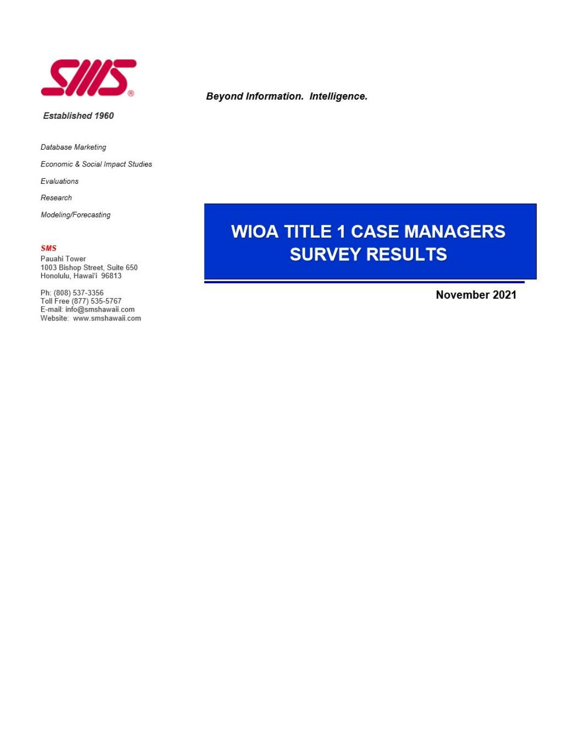

### Established 1960

Database Marketing

Economic & Social Impact Studies

Evaluations

Research

Modeling/Forecasting

### **SMS**

Pauahi Tower 1003 Bishop Street, Suite 650 Honolulu, Hawai'i 96813

Ph: (808) 537-3356<br>Toll Free (877) 535-5767 E-mail: info@smshawaii.com Website: www.smshawaii.com

## **Beyond Information. Intelligence.**

# **WIOA TITLE 1 CASE MANAGERS SURVEY RESULTS**

November 2021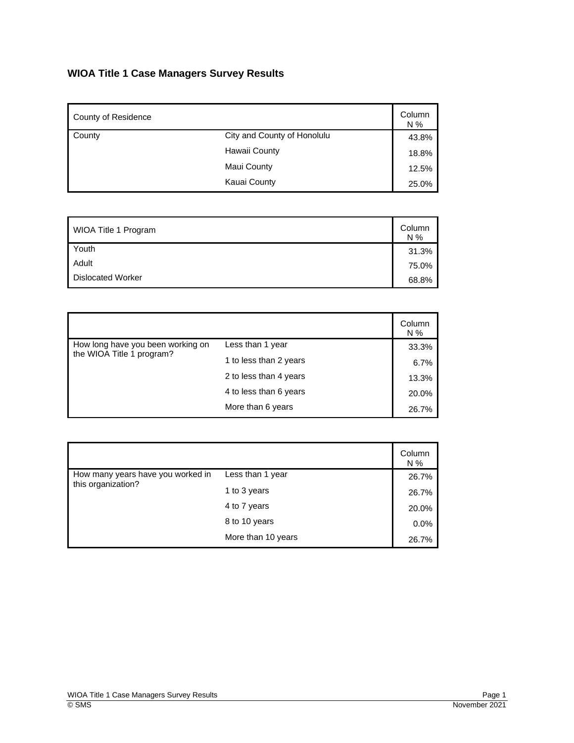# **WIOA Title 1 Case Managers Survey Results**

| County of Residence |                             | Column<br>N % |
|---------------------|-----------------------------|---------------|
| County              | City and County of Honolulu | 43.8%         |
|                     | Hawaii County               | 18.8%         |
|                     | Maui County                 | 12.5%         |
|                     | Kauai County                | 25.0%         |

| WIOA Title 1 Program     | Column<br>N% |
|--------------------------|--------------|
| Youth                    | 31.3%        |
| Adult                    | 75.0%        |
| <b>Dislocated Worker</b> | 68.8%        |

|                                                                |                        | Column<br>N % |
|----------------------------------------------------------------|------------------------|---------------|
| How long have you been working on<br>the WIOA Title 1 program? | Less than 1 year       | 33.3%         |
|                                                                | 1 to less than 2 years | 6.7%          |
|                                                                | 2 to less than 4 years | 13.3%         |
|                                                                | 4 to less than 6 years | 20.0%         |
|                                                                | More than 6 years      | 26.7%         |

|                                                         |                    | Column<br>N % |
|---------------------------------------------------------|--------------------|---------------|
| How many years have you worked in<br>this organization? | Less than 1 year   | 26.7%         |
|                                                         | 1 to 3 years       | 26.7%         |
|                                                         | 4 to 7 years       | 20.0%         |
|                                                         | 8 to 10 years      | 0.0%          |
|                                                         | More than 10 years | 26.7%         |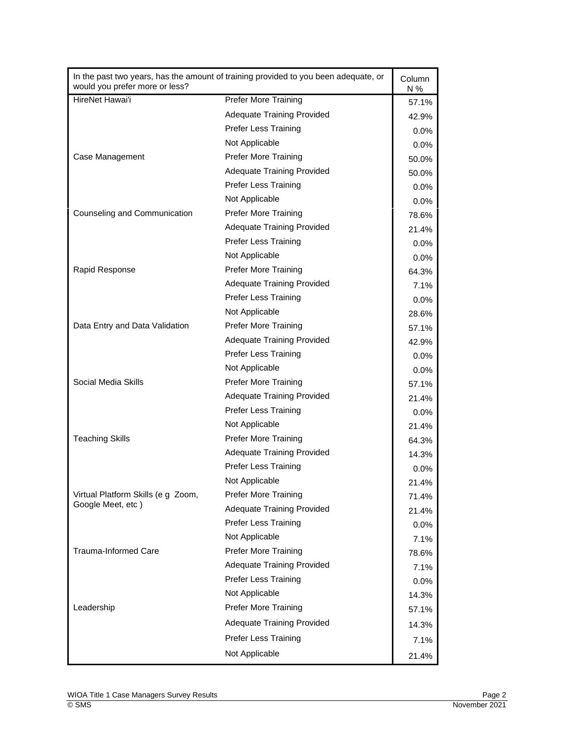| In the past two years, has the amount of training provided to you been adequate, or<br>would you prefer more or less? |                                   | Column<br>N % |
|-----------------------------------------------------------------------------------------------------------------------|-----------------------------------|---------------|
| HireNet Hawai'i                                                                                                       | <b>Prefer More Training</b>       | 57.1%         |
|                                                                                                                       | <b>Adequate Training Provided</b> | 42.9%         |
|                                                                                                                       | <b>Prefer Less Training</b>       | $0.0\%$       |
|                                                                                                                       | Not Applicable                    | $0.0\%$       |
| Case Management                                                                                                       | <b>Prefer More Training</b>       | 50.0%         |
|                                                                                                                       | <b>Adequate Training Provided</b> | 50.0%         |
|                                                                                                                       | <b>Prefer Less Training</b>       | $0.0\%$       |
|                                                                                                                       | Not Applicable                    | $0.0\%$       |
| Counseling and Communication                                                                                          | <b>Prefer More Training</b>       | 78.6%         |
|                                                                                                                       | <b>Adequate Training Provided</b> | 21.4%         |
|                                                                                                                       | <b>Prefer Less Training</b>       | $0.0\%$       |
|                                                                                                                       | Not Applicable                    | $0.0\%$       |
| Rapid Response                                                                                                        | <b>Prefer More Training</b>       | 64.3%         |
|                                                                                                                       | <b>Adequate Training Provided</b> | 7.1%          |
|                                                                                                                       | <b>Prefer Less Training</b>       | $0.0\%$       |
|                                                                                                                       | Not Applicable                    | 28.6%         |
| Data Entry and Data Validation                                                                                        | <b>Prefer More Training</b>       | 57.1%         |
|                                                                                                                       | <b>Adequate Training Provided</b> | 42.9%         |
|                                                                                                                       | <b>Prefer Less Training</b>       | $0.0\%$       |
|                                                                                                                       | Not Applicable                    | $0.0\%$       |
| Social Media Skills                                                                                                   | <b>Prefer More Training</b>       | 57.1%         |
|                                                                                                                       | <b>Adequate Training Provided</b> | 21.4%         |
|                                                                                                                       | <b>Prefer Less Training</b>       | $0.0\%$       |
|                                                                                                                       | Not Applicable                    | 21.4%         |
| <b>Teaching Skills</b>                                                                                                | <b>Prefer More Training</b>       | 64.3%         |
|                                                                                                                       | <b>Adequate Training Provided</b> | 14.3%         |
|                                                                                                                       | <b>Prefer Less Training</b>       | $0.0\%$       |
|                                                                                                                       | Not Applicable                    | 21.4%         |
| Virtual Platform Skills (e g Zoom,                                                                                    | <b>Prefer More Training</b>       | 71.4%         |
| Google Meet, etc)                                                                                                     | <b>Adequate Training Provided</b> | 21.4%         |
|                                                                                                                       | Prefer Less Training              | 0.0%          |
|                                                                                                                       | Not Applicable                    | 7.1%          |
| <b>Trauma-Informed Care</b>                                                                                           | <b>Prefer More Training</b>       | 78.6%         |
|                                                                                                                       | <b>Adequate Training Provided</b> | 7.1%          |
|                                                                                                                       | Prefer Less Training              | 0.0%          |
|                                                                                                                       | Not Applicable                    | 14.3%         |
| Leadership                                                                                                            | <b>Prefer More Training</b>       | 57.1%         |
|                                                                                                                       | <b>Adequate Training Provided</b> | 14.3%         |
|                                                                                                                       | <b>Prefer Less Training</b>       | 7.1%          |
|                                                                                                                       | Not Applicable                    | 21.4%         |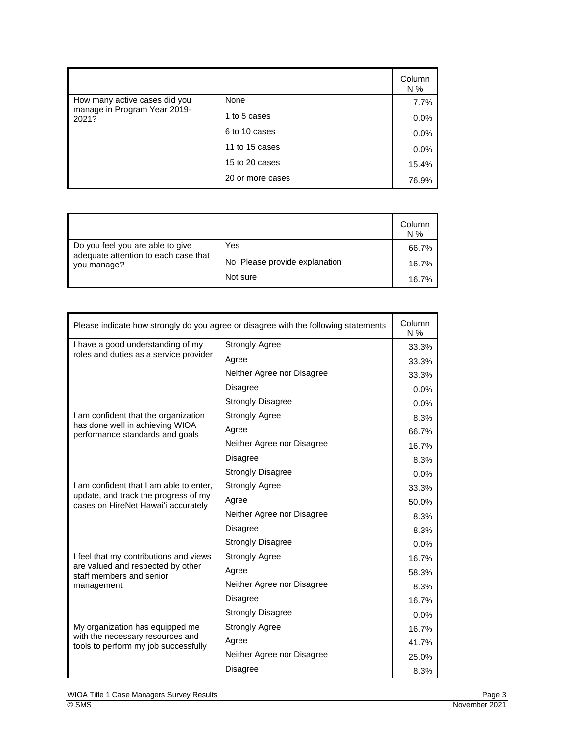|                                       |                  | Column<br>N % |
|---------------------------------------|------------------|---------------|
| How many active cases did you         | None             | 7.7%          |
| manage in Program Year 2019-<br>2021? | 1 to 5 cases     | 0.0%          |
|                                       | 6 to 10 cases    | 0.0%          |
|                                       | 11 to 15 cases   | 0.0%          |
|                                       | 15 to 20 cases   | 15.4%         |
|                                       | 20 or more cases | 76.9%         |

|                                                                                         |                               | Column<br>N% |
|-----------------------------------------------------------------------------------------|-------------------------------|--------------|
| Do you feel you are able to give<br>adequate attention to each case that<br>you manage? | Yes                           | 66.7%        |
|                                                                                         | No Please provide explanation | 16.7%        |
|                                                                                         | Not sure                      | 16.7%        |

| Please indicate how strongly do you agree or disagree with the following statements |                            | Column<br>N % |
|-------------------------------------------------------------------------------------|----------------------------|---------------|
| I have a good understanding of my                                                   | <b>Strongly Agree</b>      | 33.3%         |
| roles and duties as a service provider                                              | Agree                      | 33.3%         |
|                                                                                     | Neither Agree nor Disagree | 33.3%         |
|                                                                                     | <b>Disagree</b>            | 0.0%          |
|                                                                                     | <b>Strongly Disagree</b>   | 0.0%          |
| I am confident that the organization                                                | <b>Strongly Agree</b>      | 8.3%          |
| has done well in achieving WIOA<br>performance standards and goals                  | Agree                      | 66.7%         |
|                                                                                     | Neither Agree nor Disagree | 16.7%         |
|                                                                                     | <b>Disagree</b>            | 8.3%          |
|                                                                                     | <b>Strongly Disagree</b>   | 0.0%          |
| I am confident that I am able to enter,                                             | <b>Strongly Agree</b>      | 33.3%         |
| update, and track the progress of my<br>cases on HireNet Hawai'i accurately         | Agree                      | 50.0%         |
|                                                                                     | Neither Agree nor Disagree | 8.3%          |
|                                                                                     | <b>Disagree</b>            | 8.3%          |
|                                                                                     | <b>Strongly Disagree</b>   | 0.0%          |
| I feel that my contributions and views                                              | <b>Strongly Agree</b>      | 16.7%         |
| are valued and respected by other<br>staff members and senior                       | Agree                      | 58.3%         |
| management                                                                          | Neither Agree nor Disagree | 8.3%          |
|                                                                                     | <b>Disagree</b>            | 16.7%         |
|                                                                                     | <b>Strongly Disagree</b>   | 0.0%          |
| My organization has equipped me                                                     | <b>Strongly Agree</b>      | 16.7%         |
| with the necessary resources and<br>tools to perform my job successfully            | Agree                      | 41.7%         |
|                                                                                     | Neither Agree nor Disagree | 25.0%         |
|                                                                                     | Disagree                   | 8.3%          |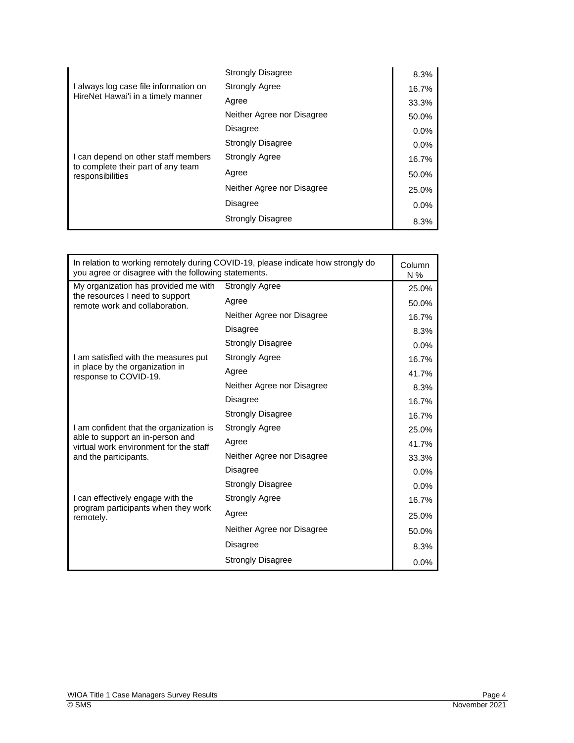|                                                                                               | <b>Strongly Disagree</b>   | 8.3%  |
|-----------------------------------------------------------------------------------------------|----------------------------|-------|
| I always log case file information on                                                         | <b>Strongly Agree</b>      | 16.7% |
| HireNet Hawai'i in a timely manner                                                            | Agree                      | 33.3% |
|                                                                                               | Neither Agree nor Disagree | 50.0% |
|                                                                                               | Disagree                   | 0.0%  |
|                                                                                               | <b>Strongly Disagree</b>   | 0.0%  |
| I can depend on other staff members<br>to complete their part of any team<br>responsibilities | <b>Strongly Agree</b>      | 16.7% |
|                                                                                               | Agree                      | 50.0% |
|                                                                                               | Neither Agree nor Disagree | 25.0% |
|                                                                                               | Disagree                   | 0.0%  |
|                                                                                               | <b>Strongly Disagree</b>   | 8.3%  |

| In relation to working remotely during COVID-19, please indicate how strongly do<br>you agree or disagree with the following statements.       |                            | Column<br>$N\%$ |
|------------------------------------------------------------------------------------------------------------------------------------------------|----------------------------|-----------------|
| My organization has provided me with                                                                                                           | <b>Strongly Agree</b>      | 25.0%           |
| the resources I need to support<br>remote work and collaboration.                                                                              | Agree                      | 50.0%           |
|                                                                                                                                                | Neither Agree nor Disagree | 16.7%           |
|                                                                                                                                                | <b>Disagree</b>            | 8.3%            |
|                                                                                                                                                | <b>Strongly Disagree</b>   | 0.0%            |
| I am satisfied with the measures put                                                                                                           | <b>Strongly Agree</b>      | 16.7%           |
| in place by the organization in<br>response to COVID-19.                                                                                       | Agree                      | 41.7%           |
|                                                                                                                                                | Neither Agree nor Disagree | 8.3%            |
|                                                                                                                                                | Disagree                   | 16.7%           |
|                                                                                                                                                | <b>Strongly Disagree</b>   | 16.7%           |
| I am confident that the organization is<br>able to support an in-person and<br>virtual work environment for the staff<br>and the participants. | <b>Strongly Agree</b>      | 25.0%           |
|                                                                                                                                                | Agree                      | 41.7%           |
|                                                                                                                                                | Neither Agree nor Disagree | 33.3%           |
|                                                                                                                                                | <b>Disagree</b>            | 0.0%            |
|                                                                                                                                                | <b>Strongly Disagree</b>   | 0.0%            |
| I can effectively engage with the                                                                                                              | <b>Strongly Agree</b>      | 16.7%           |
| program participants when they work<br>remotely.                                                                                               | Agree                      | 25.0%           |
|                                                                                                                                                | Neither Agree nor Disagree | 50.0%           |
|                                                                                                                                                | <b>Disagree</b>            | 8.3%            |
|                                                                                                                                                | <b>Strongly Disagree</b>   | 0.0%            |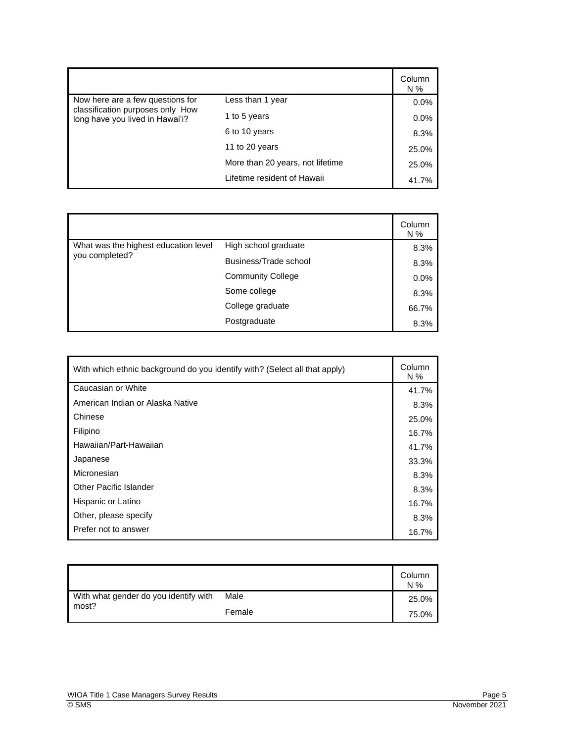|                                                                      |                                  | Column<br>N % |
|----------------------------------------------------------------------|----------------------------------|---------------|
| Now here are a few questions for<br>classification purposes only How | Less than 1 year                 | $0.0\%$       |
| long have you lived in Hawai'i?                                      | 1 to 5 years                     | 0.0%          |
|                                                                      | 6 to 10 years                    | 8.3%          |
|                                                                      | 11 to 20 years                   | 25.0%         |
|                                                                      | More than 20 years, not lifetime | 25.0%         |
|                                                                      | Lifetime resident of Hawaii      | 41.7%         |

|                                      |                          | Column<br>$N\%$ |
|--------------------------------------|--------------------------|-----------------|
| What was the highest education level | High school graduate     | 8.3%            |
| you completed?                       | Business/Trade school    | 8.3%            |
|                                      | <b>Community College</b> | 0.0%            |
|                                      | Some college             | 8.3%            |
|                                      | College graduate         | 66.7%           |
|                                      | Postgraduate             | 8.3%            |

| With which ethnic background do you identify with? (Select all that apply) | Column<br>N % |
|----------------------------------------------------------------------------|---------------|
| Caucasian or White                                                         | 41.7%         |
| American Indian or Alaska Native                                           | 8.3%          |
| Chinese                                                                    | 25.0%         |
| Filipino                                                                   | 16.7%         |
| Hawaiian/Part-Hawaiian                                                     | 41.7%         |
| Japanese                                                                   | 33.3%         |
| Micronesian                                                                | 8.3%          |
| <b>Other Pacific Islander</b>                                              | 8.3%          |
| Hispanic or Latino                                                         | 16.7%         |
| Other, please specify                                                      | 8.3%          |
| Prefer not to answer                                                       | 16.7%         |

|                                                |        | Column<br>$N\%$ |
|------------------------------------------------|--------|-----------------|
| With what gender do you identify with<br>most? | Male   | 25.0%           |
|                                                | Female | 75.0%           |